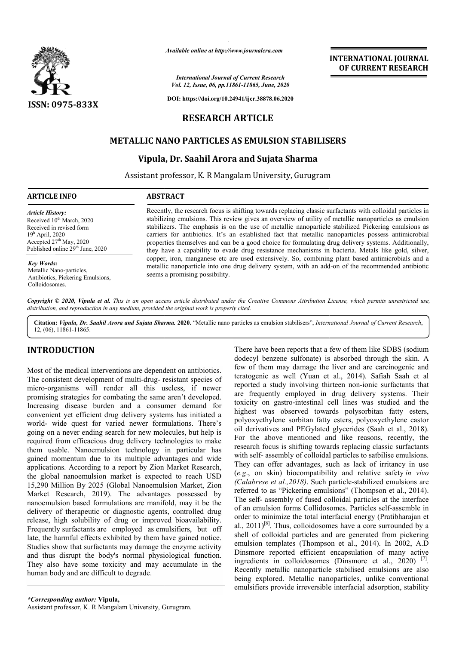

*Available online at http://www.journalcra.com*

*International Journal of Current Research Vol. 12, Issue, 06, pp.11861-11865, June, 2020*

**DOI: https://doi.org/10.24941/ijcr.38878.06.2020**

# **RESEARCH ARTICLE**

# **METALLIC NANO PARTICLES AS EMULSION STABILISERS**

## **Vipula, Dr. Saahil Arora and Sujata Sharma**

Assistant professor, K. R Mangalam University, Gurugram

#### **ARTICLE INFO ABSTRACT**

*Article History:* Received 10<sup>th</sup> March, 2020 Received in revised form 19h April, 2020 Accepted  $27<sup>th</sup>$  May, 2020 Published online  $29<sup>th</sup>$  June, 2020

*Key Words:* Metallic Nano-particles, Antibiotics, Pickering Emulsions, Colloidosomes.

Recently, the research focus is shifting towards replacing classic surfactants with colloidal particles in stabilizing emulsions. This review gives an overview of utility of metallic nanoparticles as emulsion stabilizers. The emphasis is on the use of metallic nanoparticle stabilized Pickering emulsions as carriers for antibiotics. It's an established fact that metallic nanoparticles possess antimicrobial properties themselves and can be a good choice for formulating drug delivery systems. Additionally, they have a capability to evade drug resistance mechanisms in bacteria. Metals like gold, silver, copper, iron, manganese etc are used extensively. So, combining plant based antimicrobials and a metallic nanoparticle into one drug delivery system, with an add-on of the recommended antibiotic seems a promising possibility. Recently, the research focus is shifting towards replacing classic surfactants with colloidal particles in stabilizing emulsions. This review gives an overview of utility of metallic nanoparticles as emulsion stabilizers.

Copyright © 2020, Vipula et al. This is an open access article distributed under the Creative Commons Attribution License, which permits unrestricted use, *distribution, and reproduction in any medium, provided the original work is properly cited.*

**Citation:** *Vipula, Dr. Saahil Arora and Sujata Sharma Sharma.* **2020.** "Metallic nano particles as emulsion stabilisers", *International Journal of Current Research*,12, (06), 11861-11865.

# **INTRODUCTION**

Most of the medical interventions are dependent on antibiotics. The consistent development of multi-drug- resistant species of micro-organisms will render all this useless, if newer promising strategies for combating the same aren't developed. Increasing disease burden and a consumer demand for convenient yet efficient drug delivery systems has initiated a world- wide quest for varied newer formulations. There's going on a never ending search for new molecules, but help is required from efficacious drug delivery technologies to make them usable. Nanoemulsion technology in particular has gained momentum due to its multiple advantages and wide applications. According to a report by Zion Market Research, the global nanoemulsion market is expected to reach USD 15,290 Million By 2025 (Global Nanoemulsion Market, Zion Market Research, 2019). The advantages possessed by nanoemulsion based formulations are manifold, may it be the delivery of therapeutic or diagnostic agents, controlled drug release, high solubility of drug or improved bioavailability. Frequently surfactants are employed as emulsifiers, but off late, the harmful effects exhibited by them have gained notice. Studies show that surfactants may damage the enzyme activity and thus disrupt the body's normal physiological function. They also have some toxicity and may accumulate in the human body and are difficult to degrade. They also have some toxicity and may accumula<br>human body and are difficult to degrade.<br>
\*Corresponding author: Vipula,<br>
Assistant professor, K. R Mangalam University, Gurugram. nicro-organisms will render all this useless, if newer<br>romising strategies for combating the same aren't developed.<br>acreasing disease burden and a consumer demand for<br>onvenient yet efficient drug delivery systems has initi

few of them may damage the liver and are carcinogenic and teratogenic as well (Yuan et al., 2014). Safiah Saah et al reported a study involving thirteen non-ionic surfactants that are frequently employed in drug delivery systems. Their toxicity on gastro-intestinal cell lines was studied and the are frequently employed in drug delivery systems. Their<br>toxicity on gastro-intestinal cell lines was studied and the<br>highest was observed towards polysorbitan fatty esters, polyoxyethylene sorbitan fatty esters, polyoxyethylene castor oil derivatives and PEGylated glycerides (Saah et al., 2018). For the above mentioned and like reasons, recently, the research focus is shifting towards replacing classic surfactants with self- assembly of colloidal particles to satbilise emulsions. They can offer advantages, such as lack of irritancy in use They can offer advantages, such as lack of irritancy in use (*e.g.*, on skin) biocompatibility and relative safety *in vivo* (Calabrese et al., 2018). Such particle-stabilized emulsions are referred to as "Pickering emulsions" (Thompson et al., 2014). The self- assembly of fused colloidal particles at the interface The self- assembly of fused colloidal particles at the interface<br>of an emulsion forms Collidosomes. Particles self-assemble in order to minimize the total interfacial energy (Pratibharajan et order to minimize the total interfacial energy (Pratibharajan et al.,  $2011$ <sup>[6]</sup>. Thus, colloidosomes have a core surrounded by a shell of colloidal particles and are generated from pickering emulsion templates (Thompson et al., 2014). In 2002, A.D Dinsmore reported efficient encapsulation of many active ingredients in colloidosomes (Dinsmore et al.,  $2020$ )<sup>[7]</sup>. Recently metallic nanoparticle stabilised emulsions are also Recently metallic nanoparticle stabilised emulsions are also<br>being explored. Metallic nanoparticles, unlike conventional emulsifiers provide irreversible interfacial adsorption, stability oil derivatives and PEGylated glycerides (Saah et al., 2018).<br>For the above mentioned and like reasons, recently, the<br>research focus is shifting towards replacing classic surfactants<br>with self- assembly of colloidal partic colloidal particles and are generated from pickering<br>templates (Thompson et al., 2014). In 2002, A.D<br>e reported efficient encapsulation of many active<br>its in colloidosomes (Dinsmore et al., 2020)<sup>[7]</sup>.

There have been reports that a few of them like SDBS (sodium There have been reports that a few of them like SDBS (sodium dodecyl benzene sulfonate) is absorbed through the skin. A

**INTERNATIONAL JOURNAL OF CURRENT RESEARCH**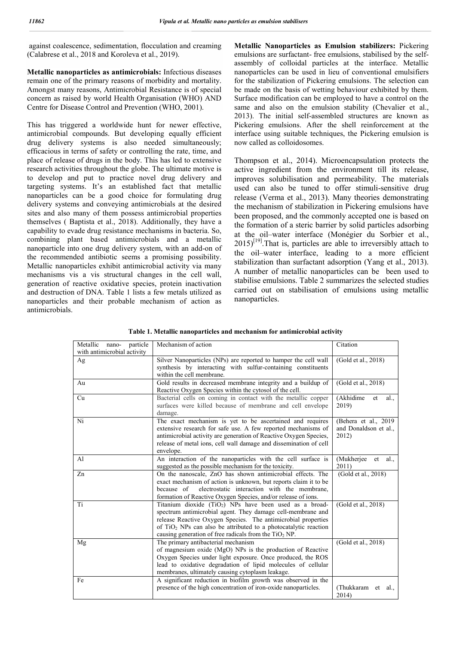against coalescence, sedimentation, flocculation and creaming (Calabrese et al., 2018 and Koroleva et al., 2019).

**Metallic nanoparticles as antimicrobials:** Infectious diseases remain one of the primary reasons of morbidity and mortality. Amongst many reasons, Antimicrobial Resistance is of special concern as raised by world Health Organisation (WHO) AND Centre for Disease Control and Prevention (WHO, 2001).

This has triggered a worldwide hunt for newer effective, antimicrobial compounds. But developing equally efficient drug delivery systems is also needed simultaneously; efficacious in terms of safety or controlling the rate, time, and place of release of drugs in the body. This has led to extensive research activities throughout the globe. The ultimate motive is to develop and put to practice novel drug delivery and targeting systems. It's an established fact that metallic nanoparticles can be a good choice for formulating drug delivery systems and conveying antimicrobials at the desired sites and also many of them possess antimicrobial properties themselves ( Baptista et al., 2018). Additionally, they have a capability to evade drug resistance mechanisms in bacteria. So, combining plant based antimicrobials and a metallic nanoparticle into one drug delivery system, with an add-on of the recommended antibiotic seems a promising possibility. Metallic nanoparticles exhibit antimicrobial activity via many mechanisms vis a vis structural changes in the cell wall, generation of reactive oxidative species, protein inactivation and destruction of DNA. Table 1 lists a few metals utilized as nanoparticles and their probable mechanism of action as antimicrobials.

**Metallic Nanoparticles as Emulsion stabilizers:** Pickering emulsions are surfactant- free emulsions, stabilised by the selfassembly of colloidal particles at the interface. Metallic nanoparticles can be used in lieu of conventional emulsifiers for the stabilization of Pickering emulsions. The selection can be made on the basis of wetting behaviour exhibited by them. Surface modification can be employed to have a control on the same and also on the emulsion stability (Chevalier et al., 2013). The initial self-assembled structures are known as Pickering emulsions. After the shell reinforcement at the interface using suitable techniques, the Pickering emulsion is now called as colloidosomes.

Thompson et al., 2014). Microencapsulation protects the active ingredient from the environment till its release, improves solubilisation and permeability. The materials used can also be tuned to offer stimuli-sensitive drug release (Verma et al., 2013). Many theories demonstrating the mechanism of stabilization in Pickering emulsions have been proposed, and the commonly accepted one is based on the formation of a steric barrier by solid particles adsorbing at the oil–water interface (Monégier du Sorbier et al.,  $2015$ <sup>[19]</sup>. That is, particles are able to irreversibly attach to the oil–water interface, leading to a more efficient stabilization than surfactant adsorption (Yang et al., 2013). A number of metallic nanoparticles can be been used to stabilise emulsions. Table 2 summarizes the selected studies carried out on stabilisation of emulsions using metallic nanoparticles.

**Table 1. Metallic nanoparticles and mechanism for antimicrobial activity**

| particle<br>Metallic<br>nano-<br>with antimicrobial activity | Mechanism of action                                                                                                                                                                                                                                                                                                                  | Citation                                                |
|--------------------------------------------------------------|--------------------------------------------------------------------------------------------------------------------------------------------------------------------------------------------------------------------------------------------------------------------------------------------------------------------------------------|---------------------------------------------------------|
| Ag                                                           | Silver Nanoparticles (NPs) are reported to hamper the cell wall<br>synthesis by interacting with sulfur-containing constituents<br>within the cell membrane.                                                                                                                                                                         | (Gold et al., 2018)                                     |
| Au                                                           | Gold results in decreased membrane integrity and a buildup of<br>Reactive Oxygen Species within the cytosol of the cell.                                                                                                                                                                                                             | (Gold et al., 2018)                                     |
| Cu                                                           | Bacterial cells on coming in contact with the metallic copper<br>surfaces were killed because of membrane and cell envelope<br>damage.                                                                                                                                                                                               | (Akhidime<br>et<br>al.,<br>2019)                        |
| Ni                                                           | The exact mechanism is yet to be ascertained and requires<br>extensive research for safe use. A few reported mechanisms of<br>antimicrobial activity are generation of Reactive Oxygen Species,<br>release of metal ions, cell wall damage and dissemination of cell<br>envelope.                                                    | (Behera et al., 2019)<br>and Donaldson et al.,<br>2012) |
| Al                                                           | An interaction of the nanoparticles with the cell surface is<br>suggested as the possible mechanism for the toxicity.                                                                                                                                                                                                                | (Mukherjee<br>et<br>al.<br>2011)                        |
| Zn                                                           | On the nanoscale, ZnO has shown antimicrobial effects. The<br>exact mechanism of action is unknown, but reports claim it to be<br>electrostatic interaction with the membrane,<br>because of<br>formation of Reactive Oxygen Species, and/or release of ions.                                                                        | (Gold et al., 2018)                                     |
| Ti                                                           | Titanium dioxide (TiO <sub>2</sub> ) NPs have been used as a broad-<br>spectrum antimicrobial agent. They damage cell-membrane and<br>release Reactive Oxygen Species. The antimicrobial properties<br>of $TiO2$ NPs can also be attributed to a photocatalytic reaction<br>causing generation of free radicals from the $TiO2 NP$ . | (Gold et al., 2018)                                     |
| Mg                                                           | The primary antibacterial mechanism<br>of magnesium oxide (MgO) NPs is the production of Reactive<br>Oxygen Species under light exposure. Once produced, the ROS<br>lead to oxidative degradation of lipid molecules of cellular<br>membranes, ultimately causing cytoplasm leakage.                                                 | (Gold et al., 2018)                                     |
| Fe                                                           | A significant reduction in biofilm growth was observed in the<br>presence of the high concentration of iron-oxide nanoparticles.                                                                                                                                                                                                     | (Thukkaram et<br>al.,<br>2014)                          |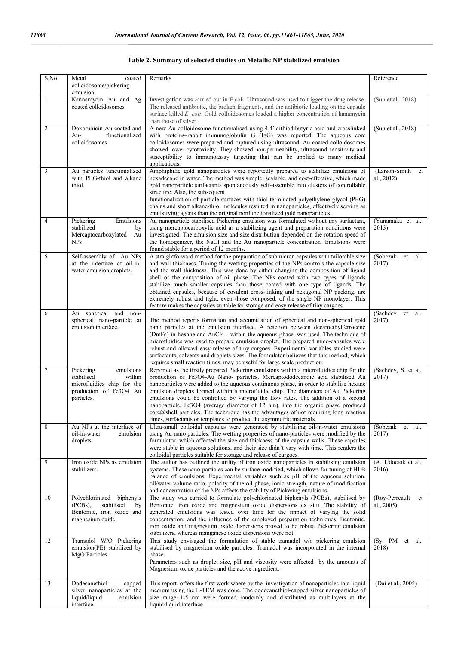| S.No           | coated<br>Metal<br>colloidosome/pickering<br>emulsion                                                                | Remarks                                                                                                                                                                                                                                                                                                                                                                                                                                                                                                                                                                                                                                                                                                       | Reference                          |
|----------------|----------------------------------------------------------------------------------------------------------------------|---------------------------------------------------------------------------------------------------------------------------------------------------------------------------------------------------------------------------------------------------------------------------------------------------------------------------------------------------------------------------------------------------------------------------------------------------------------------------------------------------------------------------------------------------------------------------------------------------------------------------------------------------------------------------------------------------------------|------------------------------------|
| 1              | Kannamycin Au and Ag<br>coated colloidosomes.                                                                        | Investigation was carried out in E.coli. Ultrasound was used to trigger the drug release.<br>The released antibiotic, the broken fragments, and the antibiotic loading on the capsule<br>surface killed E. coli. Gold colloidosomes loaded a higher concentration of kanamycin<br>than those of silver.                                                                                                                                                                                                                                                                                                                                                                                                       | (Sun et al., 2018)                 |
| $\mathfrak{2}$ | Doxorubicin Au coated and<br>$Au-$<br>functionalized<br>colloidosomes                                                | A new Au colloidosome functionalised using 4,4'-dithiodibutyric acid and crosslinked<br>with proteins–rabbit immunoglobulin G (IgG) was reported. The aqueous core<br>colloidosomes were prepared and ruptured using ultrasound. Au coated colloidosomes<br>showed lower cytotoxicity. They showed non-permeability, ultrasound sensitivity and<br>susceptibility to immunoassay targeting that can be applied to many medical<br>applications.                                                                                                                                                                                                                                                               | (Sun et al., 2018)                 |
| 3              | Au particles functionalized<br>with PEG-thiol and alkane<br>thiol.                                                   | Amphiphilic gold nanoparticles were reportedly prepared to stabilize emulsions of<br>hexadecane in water. The method was simple, scalable, and cost-effective, which made<br>gold nanoparticle surfactants spontaneously self-assemble into clusters of controllable<br>structure. Also, the subsequent<br>functionalization of particle surfaces with thiol-terminated polyethylene glycol (PEG)<br>chains and short alkane-thiol molecules resulted in nanoparticles, effectively serving as<br>emulsifying agents than the original nonfunctionalized gold nanoparticles.                                                                                                                                  | (Larson-Smith<br>et<br>al., 2012)  |
| $\overline{4}$ | Emulsions<br>Pickering<br>stabilized<br>by<br>Mercaptocarboxylated<br>Au<br><b>NPs</b>                               | Au nanoparticle stabilised Pickering emulsion was formulated without any surfactant,<br>using mercaptocarboxylic acid as a stabilizing agent and preparation conditions were<br>investigated. The emulsion size and size distribution depended on the rotation speed of<br>the homogenizer, the NaCl and the Au nanoparticle concentration. Emulsions were<br>found stable for a period of 12 months.                                                                                                                                                                                                                                                                                                         | (Yamanaka et al.,<br>2013)         |
| 5              | Self-assembly of Au NPs<br>at the interface of oil-in-<br>water emulsion droplets.                                   | A straightforward method for the preparation of submicron capsules with tailorable size<br>and wall thickness. Tuning the wetting properties of the NPs controls the capsule size<br>and the wall thickness. This was done by either changing the composition of ligand<br>shell or the composition of oil phase. The NPs coated with two types of ligands<br>stabilize much smaller capsules than those coated with one type of ligands. The<br>obtained capsules, because of covalent cross-linking and hexagonal NP packing, are<br>extremely robust and tight, even those composed. of the single NP monolayer. This<br>feature makes the capsules suitable for storage and easy release of tiny cargoes. | (Sobczak<br>et<br>al.,<br>2017)    |
| 6              | spherical and non-<br>Au<br>spherical nano-particle at<br>emulsion interface.                                        | The method reports formation and accumulation of spherical and non-spherical gold<br>nano particles at the emulsion interface. A reaction between decamethylferrocene<br>(DmFc) in hexane and AuCl4 - within the aqueous phase, was used. The technique of<br>microfluidics was used to prepare emulsion droplet. The prepared mico-capsules were<br>robust and allowed easy release of tiny cargoes. Experimental variables studied were<br>surfactants, solvents and droplets sizes. The formulator believes that this method, which<br>requires small reaction times, may be useful for large scale production.                                                                                            | (Sachdev<br>et<br>al.,<br>2017)    |
| $\tau$         | Pickering<br>emulsions<br>stabilised<br>within<br>microfluidics chip for the<br>production of Fe3O4 Au<br>particles. | Reported as the firstly prepared Pickering emulsions within a microfluidics chip for the<br>production of Fe3O4-Au Nano- particles. Mercaptododecanoic acid stabilised Au<br>nanoparticles were added to the aqueous continuous phase, in order to stabilise hexane<br>emulsion droplets formed within a microfluidic chip. The diameters of Au Pickering<br>emulsions could be controlled by varying the flow rates. The addition of a second<br>nanoparticle, Fe3O4 (average diameter of 12 nm), into the organic phase produced<br>core@shell particles. The technique has the advantages of not requiring long reaction<br>times, surfactants or templates to produce the asymmetric materials.           | (Sachdev, S. et al.,<br>2017)      |
| $\,8\,$        | Au NPs at the interface of<br>oil-in-water<br>emulsion<br>droplets.                                                  | Ultra-small colloidal capsules were generated by stabilising oil-in-water emulsions<br>using Au nano particles. The wetting properties of nano-particles were modified by the<br>formulator, which affected the size and thickness of the capsule walls. These capsules<br>were stable in aqueous solutions, and their size didn't vary with time. This renders the<br>colloidal particles suitable for storage and release of cargoes.                                                                                                                                                                                                                                                                       | (Sobczak<br>et<br>al.,<br>2017)    |
| 9              | Iron oxide NPs as emulsion<br>stabilizers.                                                                           | The author has outlined the utility of iron oxide nanoparticles in stabilising emulsion<br>systems. These nano-particles can be surface modified, which allows for tuning of HLB<br>balance of emulsions. Experimental variables such as pH of the aqueous solution,<br>oil/water volume ratio, polarity of the oil phase, ionic strength, nature of modification<br>and concentration of the NPs affects the stability of Pickering emulsions.                                                                                                                                                                                                                                                               | (A. Udoetok et al.,<br>2016)       |
| 10             | Polychlorinated<br>biphenyls<br>stabilised<br>$(PCBs)$ ,<br>by<br>Bentonite, iron oxide and<br>magnesium oxide       | The study was carried to formulate polychlorinated biphenyls (PCBs), stabilised by<br>Bentonite, iron oxide and magnesium oxide dispersions ex situ. The stability of<br>generated emulsions was tested over time for the impact of varying the solid<br>concentration, and the influence of the employed preparation techniques. Bentonite,<br>iron oxide and magnesium oxide dispersions proved to be robust Pickering emulsion<br>stabilizers, whereas manganese oxide dispersions were not.                                                                                                                                                                                                               | (Roy-Perreault<br>et<br>al., 2005) |
| 12             | Tramadol W/O Pickering<br>emulsion(PE) stabilized by<br>MgO Particles.                                               | This study envisaged the formulation of stable tramadol w/o pickering emulsion<br>stabilised by magnesium oxide particles. Tramadol was incorporated in the internal<br>phase.<br>Parameters such as droplet size, pH and viscosity were affected by the amounts of<br>Magnesium oxide particles and the active ingredient.                                                                                                                                                                                                                                                                                                                                                                                   | (Sy PM et al.,<br>2018)            |
| 13             | Dodecanethiol-<br>capped<br>silver nanoparticles at the<br>liquid/liquid<br>emulsion                                 | This report, offers the first work where by the investigation of nanoparticles in a liquid<br>medium using the E-TEM was done. The dodecanethiol-capped silver nanoparticles of<br>size range 1-5 nm were formed randomly and distributed as multilayers at the                                                                                                                                                                                                                                                                                                                                                                                                                                               | (Dai et al., 2005)                 |

#### **Table 2. Summary of selected studies on Metallic NP stabilized emulsion**

interface.

liquid/liquid interface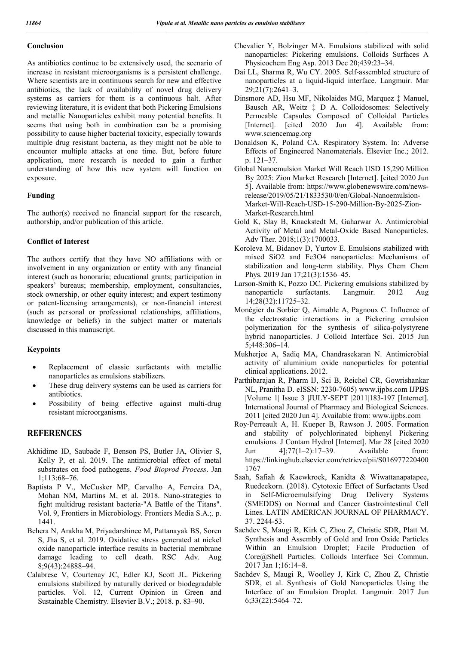### **Conclusion**

As antibiotics continue to be extensively used, the scenario of increase in resistant microorganisms is a persistent challenge. Where scientists are in continuous search for new and effective antibiotics, the lack of availability of novel drug delivery systems as carriers for them is a continuous halt. After reviewing literature, it is evident that both Pickering Emulsions and metallic Nanoparticles exhibit many potential benefits. It seems that using both in combination can be a promising possibility to cause higher bacterial toxicity, especially towards multiple drug resistant bacteria, as they might not be able to encounter multiple attacks at one time. But, before future application, more research is needed to gain a further understanding of how this new system will function on exposure.

#### **Funding**

The author(s) received no financial support for the research, authorship, and/or publication of this article.

### **Conflict of Interest**

The authors certify that they have NO affiliations with or involvement in any organization or entity with any financial interest (such as honoraria; educational grants; participation in speakers' bureaus; membership, employment, consultancies, stock ownership, or other equity interest; and expert testimony or patent-licensing arrangements), or non-financial interest (such as personal or professional relationships, affiliations, knowledge or beliefs) in the subject matter or materials discussed in this manuscript.

#### **Keypoints**

- Replacement of classic surfactants with metallic nanoparticles as emulsions stabilizers.
- These drug delivery systems can be used as carriers for antibiotics.
- Possibility of being effective against multi-drug resistant microorganisms.

## **REFERENCES**

- Akhidime ID, Saubade F, Benson PS, Butler JA, Olivier S, Kelly P, et al. 2019. The antimicrobial effect of metal substrates on food pathogens. *Food Bioprod Process*. Jan 1;113:68–76.
- Baptista P V., McCusker MP, Carvalho A, Ferreira DA, Mohan NM, Martins M, et al. 2018. Nano-strategies to fight multidrug resistant bacteria-"A Battle of the Titans". Vol. 9, Frontiers in Microbiology. Frontiers Media S.A.;. p. 1441.
- Behera N, Arakha M, Priyadarshinee M, Pattanayak BS, Soren S, Jha S, et al. 2019. Oxidative stress generated at nickel oxide nanoparticle interface results in bacterial membrane damage leading to cell death. RSC Adv. Aug 8;9(43):24888–94.
- Calabrese V, Courtenay JC, Edler KJ, Scott JL. Pickering emulsions stabilized by naturally derived or biodegradable particles. Vol. 12, Current Opinion in Green and Sustainable Chemistry. Elsevier B.V.; 2018. p. 83–90.
- Chevalier Y, Bolzinger MA. Emulsions stabilized with solid nanoparticles: Pickering emulsions. Colloids Surfaces A Physicochem Eng Asp. 2013 Dec 20;439:23–34.
- Dai LL, Sharma R, Wu CY. 2005. Self-assembled structure of nanoparticles at a liquid-liquid interface. Langmuir. Mar 29;21(7):2641–3.
- Dinsmore AD, Hsu MF, Nikolaides MG, Marquez ‡ Manuel, Bausch AR, Weitz ‡ D A. Colloidosomes: Selectively Permeable Capsules Composed of Colloidal Particles [Internet]. [cited 2020 Jun 4]. Available from: www.sciencemag.org
- Donaldson K, Poland CA. Respiratory System. In: Adverse Effects of Engineered Nanomaterials. Elsevier Inc.; 2012. p. 121–37.
- Global Nanoemulsion Market Will Reach USD 15,290 Million By 2025: Zion Market Research [Internet]. [cited 2020 Jun 5]. Available from: https://www.globenewswire.com/newsrelease/2019/05/21/1833530/0/en/Global-Nanoemulsion-Market-Will-Reach-USD-15-290-Million-By-2025-Zion-Market-Research.html
- Gold K, Slay B, Knackstedt M, Gaharwar A. Antimicrobial Activity of Metal and Metal-Oxide Based Nanoparticles. Adv Ther. 2018;1(3):1700033.
- Koroleva M, Bidanov D, Yurtov E. Emulsions stabilized with mixed SiO2 and Fe3O4 nanoparticles: Mechanisms of stabilization and long-term stability. Phys Chem Chem Phys. 2019 Jan 17;21(3):1536–45.
- Larson-Smith K, Pozzo DC. Pickering emulsions stabilized by nanoparticle surfactants. Langmuir. 2012 Aug 14;28(32):11725–32.
- Monégier du Sorbier Q, Aimable A, Pagnoux C. Influence of the electrostatic interactions in a Pickering emulsion polymerization for the synthesis of silica-polystyrene hybrid nanoparticles. J Colloid Interface Sci. 2015 Jun 5;448:306–14.
- Mukherjee A, Sadiq MA, Chandrasekaran N. Antimicrobial activity of aluminium oxide nanoparticles for potential clinical applications. 2012.
- Parthibarajan R, Pharm IJ, Sci B, Reichel CR, Gowrishankar NL, Pranitha D. eISSN: 2230-7605) www.ijpbs.com IJPBS |Volume 1| Issue 3 |JULY-SEPT |2011|183-197 [Internet]. International Journal of Pharmacy and Biological Sciences. 2011 [cited 2020 Jun 4]. Available from: www.ijpbs.com
- Roy-Perreault A, H. Kueper B, Rawson J. 2005. Formation and stability of polychlorinated biphenyl Pickering emulsions. J Contam Hydrol [Internet]. Mar 28 [cited 2020 Jun 4];77(1–2):17–39. Available from: https://linkinghub.elsevier.com/retrieve/pii/S016977220400 1767
- Saah, Safiah & Kaewkroek, Kanidta & Wiwattanapatapee, Ruedeekorn. (2018). Cytotoxic Effect of Surfactants Used in Self-Microemulsifying Drug Delivery Systems (SMEDDS) on Normal and Cancer Gastrointestinal Cell Lines. LATIN AMERICAN JOURNAL OF PHARMACY. 37. 2244-53.
- Sachdev S, Maugi R, Kirk C, Zhou Z, Christie SDR, Platt M. Synthesis and Assembly of Gold and Iron Oxide Particles Within an Emulsion Droplet; Facile Production of Core@Shell Particles. Colloids Interface Sci Commun. 2017 Jan 1;16:14–8.
- Sachdev S, Maugi R, Woolley J, Kirk C, Zhou Z, Christie SDR, et al. Synthesis of Gold Nanoparticles Using the Interface of an Emulsion Droplet. Langmuir. 2017 Jun 6;33(22):5464–72.